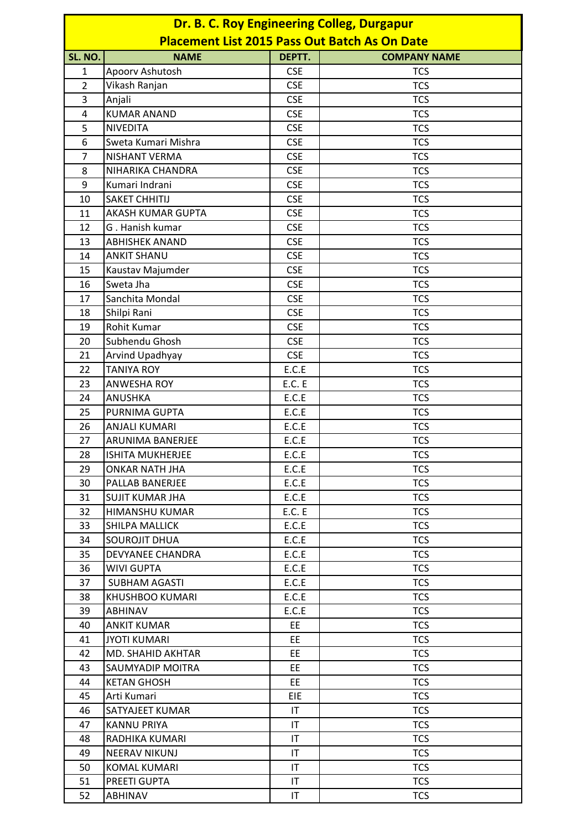|                | Dr. B. C. Roy Engineering Colleg, Durgapur<br><b>Placement List 2015 Pass Out Batch As On Date</b> |                        |                     |  |  |  |
|----------------|----------------------------------------------------------------------------------------------------|------------------------|---------------------|--|--|--|
| SL. NO.        | <b>NAME</b>                                                                                        | DEPTT.                 | <b>COMPANY NAME</b> |  |  |  |
| 1              | Apoorv Ashutosh                                                                                    | <b>CSE</b>             | <b>TCS</b>          |  |  |  |
| $\overline{2}$ | Vikash Ranjan                                                                                      | <b>CSE</b>             | <b>TCS</b>          |  |  |  |
| 3              | Anjali                                                                                             | <b>CSE</b>             | <b>TCS</b>          |  |  |  |
| $\overline{4}$ | <b>KUMAR ANAND</b>                                                                                 | <b>CSE</b>             | <b>TCS</b>          |  |  |  |
| 5              | <b>NIVEDITA</b>                                                                                    | <b>CSE</b>             | <b>TCS</b>          |  |  |  |
| 6              | Sweta Kumari Mishra                                                                                | <b>CSE</b>             | <b>TCS</b>          |  |  |  |
| $\overline{7}$ | <b>NISHANT VERMA</b>                                                                               | <b>CSE</b>             | <b>TCS</b>          |  |  |  |
| 8              | NIHARIKA CHANDRA                                                                                   | <b>CSE</b>             | <b>TCS</b>          |  |  |  |
| 9              | Kumari Indrani                                                                                     | <b>CSE</b>             | <b>TCS</b>          |  |  |  |
| 10             | <b>SAKET CHHITIJ</b>                                                                               | <b>CSE</b>             | <b>TCS</b>          |  |  |  |
| 11             | AKASH KUMAR GUPTA                                                                                  | <b>CSE</b>             | <b>TCS</b>          |  |  |  |
| 12             | G. Hanish kumar                                                                                    | <b>CSE</b>             | <b>TCS</b>          |  |  |  |
| 13             | <b>ABHISHEK ANAND</b>                                                                              | <b>CSE</b>             | <b>TCS</b>          |  |  |  |
| 14             | <b>ANKIT SHANU</b>                                                                                 | <b>CSE</b>             | <b>TCS</b>          |  |  |  |
| 15             | Kaustav Majumder                                                                                   | <b>CSE</b>             | <b>TCS</b>          |  |  |  |
| 16             | Sweta Jha                                                                                          | <b>CSE</b>             | <b>TCS</b>          |  |  |  |
| 17             | Sanchita Mondal                                                                                    | <b>CSE</b>             | <b>TCS</b>          |  |  |  |
| 18             | Shilpi Rani                                                                                        | <b>CSE</b>             | <b>TCS</b>          |  |  |  |
| 19             | Rohit Kumar                                                                                        | <b>CSE</b>             | <b>TCS</b>          |  |  |  |
| 20             | Subhendu Ghosh                                                                                     | <b>CSE</b>             | <b>TCS</b>          |  |  |  |
| 21             | Arvind Upadhyay                                                                                    | <b>CSE</b>             | <b>TCS</b>          |  |  |  |
| 22             | <b>TANIYA ROY</b>                                                                                  | E.C.E                  | <b>TCS</b>          |  |  |  |
| 23             | <b>ANWESHA ROY</b>                                                                                 | <b>E.C. E</b>          | <b>TCS</b>          |  |  |  |
| 24             | <b>ANUSHKA</b>                                                                                     | E.C.E                  | <b>TCS</b>          |  |  |  |
| 25             | PURNIMA GUPTA                                                                                      | E.C.E                  | <b>TCS</b>          |  |  |  |
| 26             | <b>ANJALI KUMARI</b>                                                                               | E.C.E                  | <b>TCS</b>          |  |  |  |
| 27             | <b>ARUNIMA BANERJEE</b>                                                                            | E.C.E                  | <b>TCS</b>          |  |  |  |
| 28             | <b>ISHITA MUKHERJEE</b>                                                                            | E.C.E                  | <b>TCS</b>          |  |  |  |
| 29             | <b>ONKAR NATH JHA</b>                                                                              | E.C.E                  | <b>TCS</b>          |  |  |  |
| 30             | PALLAB BANERJEE                                                                                    | E.C.E                  | <b>TCS</b>          |  |  |  |
| 31             | SUJIT KUMAR JHA                                                                                    | E.C.E                  | <b>TCS</b>          |  |  |  |
| 32             | HIMANSHU KUMAR                                                                                     | <b>E.C. E</b>          | <b>TCS</b>          |  |  |  |
| 33             | SHILPA MALLICK                                                                                     | E.C.E                  | <b>TCS</b>          |  |  |  |
| 34             | <b>SOUROJIT DHUA</b>                                                                               | E.C.E                  | <b>TCS</b>          |  |  |  |
| 35             | <b>DEVYANEE CHANDRA</b>                                                                            | E.C.E                  | <b>TCS</b>          |  |  |  |
| 36             | WIVI GUPTA                                                                                         | E.C.E                  | <b>TCS</b>          |  |  |  |
| 37             | <b>SUBHAM AGASTI</b>                                                                               | E.C.E                  | <b>TCS</b>          |  |  |  |
| 38             | <b>KHUSHBOO KUMARI</b>                                                                             | E.C.E                  | <b>TCS</b>          |  |  |  |
| 39             | ABHINAV                                                                                            | E.C.E                  | <b>TCS</b>          |  |  |  |
| 40             | <b>ANKIT KUMAR</b>                                                                                 | <b>EE</b>              | <b>TCS</b>          |  |  |  |
| 41             | JYOTI KUMARI                                                                                       | EE.                    | <b>TCS</b>          |  |  |  |
| 42             | MD. SHAHID AKHTAR                                                                                  | <b>EE</b>              | <b>TCS</b>          |  |  |  |
| 43             | <b>SAUMYADIP MOITRA</b>                                                                            | EE                     | <b>TCS</b>          |  |  |  |
| 44             | <b>KETAN GHOSH</b>                                                                                 | <b>EE</b>              | <b>TCS</b>          |  |  |  |
| 45             | Arti Kumari                                                                                        | EIE                    | <b>TCS</b>          |  |  |  |
| 46             | SATYAJEET KUMAR                                                                                    | IT.                    | <b>TCS</b>          |  |  |  |
| 47             | <b>KANNU PRIYA</b>                                                                                 | $\mathsf{I}\mathsf{T}$ | <b>TCS</b>          |  |  |  |
| 48             | RADHIKA KUMARI                                                                                     | $\mathsf{I}\mathsf{T}$ | <b>TCS</b>          |  |  |  |
| 49             | <b>NEERAV NIKUNJ</b>                                                                               | IT                     | <b>TCS</b>          |  |  |  |
| 50             | KOMAL KUMARI                                                                                       | IT                     | <b>TCS</b>          |  |  |  |
| 51             | PREETI GUPTA                                                                                       | IT.                    | <b>TCS</b>          |  |  |  |
| 52             | ABHINAV                                                                                            | IT                     | <b>TCS</b>          |  |  |  |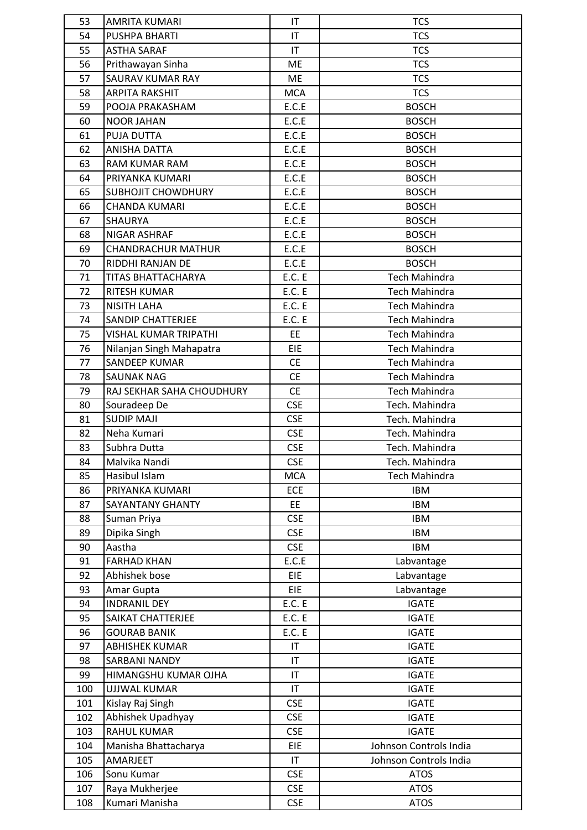| 53  | <b>AMRITA KUMARI</b>         | IT                     | <b>TCS</b>             |
|-----|------------------------------|------------------------|------------------------|
| 54  | <b>PUSHPA BHARTI</b>         | $\mathsf{I}\mathsf{T}$ | <b>TCS</b>             |
| 55  | <b>ASTHA SARAF</b>           | IT                     | <b>TCS</b>             |
| 56  | Prithawayan Sinha            | <b>ME</b>              | <b>TCS</b>             |
| 57  | SAURAV KUMAR RAY             | <b>ME</b>              | <b>TCS</b>             |
| 58  | <b>ARPITA RAKSHIT</b>        | <b>MCA</b>             | <b>TCS</b>             |
| 59  | POOJA PRAKASHAM              | E.C.E                  | <b>BOSCH</b>           |
| 60  | <b>NOOR JAHAN</b>            | E.C.E                  | <b>BOSCH</b>           |
| 61  | PUJA DUTTA                   | E.C.E                  | <b>BOSCH</b>           |
| 62  | <b>ANISHA DATTA</b>          | E.C.E                  | <b>BOSCH</b>           |
| 63  | RAM KUMAR RAM                | E.C.E                  | <b>BOSCH</b>           |
| 64  | PRIYANKA KUMARI              | E.C.E                  | <b>BOSCH</b>           |
| 65  | <b>SUBHOJIT CHOWDHURY</b>    | E.C.E                  | <b>BOSCH</b>           |
| 66  | <b>CHANDA KUMARI</b>         | E.C.E                  | <b>BOSCH</b>           |
| 67  | <b>SHAURYA</b>               | E.C.E                  | <b>BOSCH</b>           |
| 68  | NIGAR ASHRAF                 | E.C.E                  | <b>BOSCH</b>           |
| 69  | <b>CHANDRACHUR MATHUR</b>    | E.C.E                  | <b>BOSCH</b>           |
| 70  | RIDDHI RANJAN DE             | E.C.E                  | <b>BOSCH</b>           |
| 71  | TITAS BHATTACHARYA           | <b>E.C. E</b>          | <b>Tech Mahindra</b>   |
| 72  | <b>RITESH KUMAR</b>          | E.C. E                 | <b>Tech Mahindra</b>   |
| 73  | <b>NISITH LAHA</b>           | <b>E.C. E</b>          | <b>Tech Mahindra</b>   |
| 74  | <b>SANDIP CHATTERJEE</b>     | E.C. E                 | <b>Tech Mahindra</b>   |
| 75  | <b>VISHAL KUMAR TRIPATHI</b> | EE                     | <b>Tech Mahindra</b>   |
| 76  | Nilanjan Singh Mahapatra     | EIE                    | <b>Tech Mahindra</b>   |
| 77  | <b>SANDEEP KUMAR</b>         | <b>CE</b>              | <b>Tech Mahindra</b>   |
| 78  | <b>SAUNAK NAG</b>            | <b>CE</b>              | <b>Tech Mahindra</b>   |
| 79  | RAJ SEKHAR SAHA CHOUDHURY    | <b>CE</b>              | <b>Tech Mahindra</b>   |
| 80  | Souradeep De                 | <b>CSE</b>             | Tech. Mahindra         |
| 81  | <b>SUDIP MAJI</b>            | <b>CSE</b>             | Tech. Mahindra         |
| 82  | Neha Kumari                  | <b>CSE</b>             | Tech. Mahindra         |
| 83  | Subhra Dutta                 | <b>CSE</b>             | Tech. Mahindra         |
| 84  | Malvika Nandi                | <b>CSE</b>             | Tech. Mahindra         |
| 85  | Hasibul Islam                | <b>MCA</b>             | <b>Tech Mahindra</b>   |
| 86  | PRIYANKA KUMARI              | <b>ECE</b>             | <b>IBM</b>             |
| 87  | SAYANTANY GHANTY             | <b>EE</b>              | IBM                    |
| 88  | Suman Priya                  | <b>CSE</b>             | <b>IBM</b>             |
| 89  | Dipika Singh                 | <b>CSE</b>             | <b>IBM</b>             |
| 90  | Aastha                       | <b>CSE</b>             | IBM                    |
| 91  | <b>FARHAD KHAN</b>           | E.C.E                  | Labvantage             |
| 92  | Abhishek bose                | <b>EIE</b>             | Labvantage             |
| 93  | Amar Gupta                   | <b>EIE</b>             | Labvantage             |
| 94  | <b>INDRANIL DEY</b>          | E.C. E                 | <b>IGATE</b>           |
| 95  | SAIKAT CHATTERJEE            | E.C. E                 | <b>IGATE</b>           |
| 96  | <b>GOURAB BANIK</b>          | E.C. E                 | <b>IGATE</b>           |
| 97  | <b>ABHISHEK KUMAR</b>        | IT                     | <b>IGATE</b>           |
| 98  | SARBANI NANDY                | IT                     | <b>IGATE</b>           |
| 99  | HIMANGSHU KUMAR OJHA         | $\mathsf{I}\mathsf{T}$ | <b>IGATE</b>           |
| 100 | <b>UJJWAL KUMAR</b>          | $\mathsf{I}\mathsf{T}$ | <b>IGATE</b>           |
| 101 | Kislay Raj Singh             | <b>CSE</b>             | <b>IGATE</b>           |
| 102 | Abhishek Upadhyay            | <b>CSE</b>             | <b>IGATE</b>           |
| 103 | <b>RAHUL KUMAR</b>           | <b>CSE</b>             | <b>IGATE</b>           |
| 104 | Manisha Bhattacharya         | <b>EIE</b>             | Johnson Controls India |
| 105 | AMARJEET                     | $\mathsf{I}\mathsf{T}$ | Johnson Controls India |
| 106 | Sonu Kumar                   | <b>CSE</b>             | <b>ATOS</b>            |
| 107 | Raya Mukherjee               | <b>CSE</b>             | <b>ATOS</b>            |
| 108 | Kumari Manisha               | <b>CSE</b>             | <b>ATOS</b>            |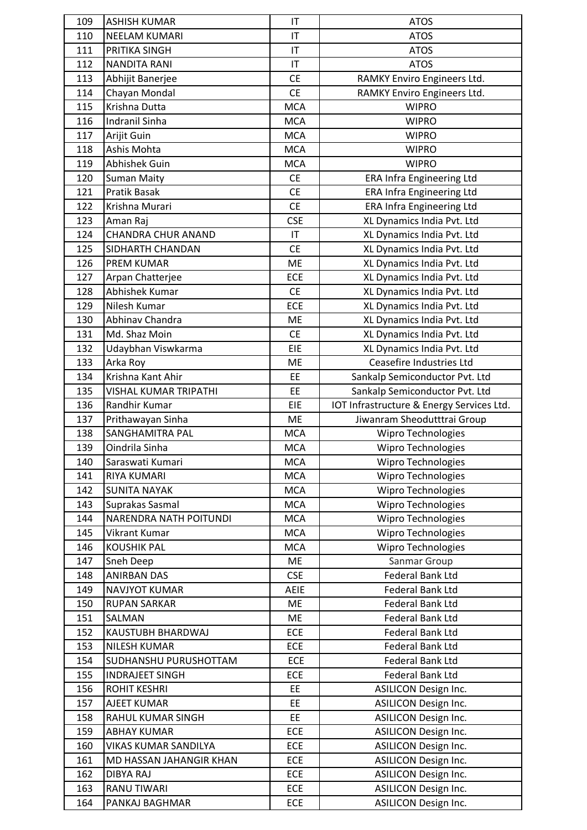| 109 | <b>ASHISH KUMAR</b>           | IT          | <b>ATOS</b>                               |
|-----|-------------------------------|-------------|-------------------------------------------|
| 110 | <b>NEELAM KUMARI</b>          | IT          | <b>ATOS</b>                               |
| 111 | PRITIKA SINGH                 | IT          | <b>ATOS</b>                               |
| 112 | <b>NANDITA RANI</b>           | IT          | <b>ATOS</b>                               |
| 113 | Abhijit Banerjee              | <b>CE</b>   | RAMKY Enviro Engineers Ltd.               |
| 114 | Chayan Mondal                 | <b>CE</b>   | RAMKY Enviro Engineers Ltd.               |
| 115 | Krishna Dutta                 | <b>MCA</b>  | <b>WIPRO</b>                              |
| 116 | <b>Indranil Sinha</b>         | <b>MCA</b>  | <b>WIPRO</b>                              |
| 117 | Arijit Guin                   | <b>MCA</b>  | <b>WIPRO</b>                              |
| 118 | Ashis Mohta                   | <b>MCA</b>  | <b>WIPRO</b>                              |
| 119 | Abhishek Guin                 | <b>MCA</b>  | <b>WIPRO</b>                              |
| 120 | <b>Suman Maity</b>            | <b>CE</b>   | <b>ERA Infra Engineering Ltd</b>          |
| 121 | Pratik Basak                  | <b>CE</b>   | ERA Infra Engineering Ltd                 |
| 122 | Krishna Murari                | <b>CE</b>   | <b>ERA Infra Engineering Ltd</b>          |
| 123 | Aman Raj                      | <b>CSE</b>  | XL Dynamics India Pvt. Ltd                |
| 124 | <b>CHANDRA CHUR ANAND</b>     | IT          | XL Dynamics India Pvt. Ltd                |
| 125 | SIDHARTH CHANDAN              | <b>CE</b>   | XL Dynamics India Pvt. Ltd                |
| 126 | <b>PREM KUMAR</b>             | <b>ME</b>   | XL Dynamics India Pvt. Ltd                |
| 127 | Arpan Chatterjee              | ECE         | XL Dynamics India Pvt. Ltd                |
| 128 | Abhishek Kumar                | <b>CE</b>   | XL Dynamics India Pvt. Ltd                |
| 129 | Nilesh Kumar                  | ECE         | XL Dynamics India Pvt. Ltd                |
| 130 | Abhinav Chandra               | <b>ME</b>   | XL Dynamics India Pvt. Ltd                |
| 131 | Md. Shaz Moin                 | <b>CE</b>   | XL Dynamics India Pvt. Ltd                |
| 132 | Udaybhan Viswkarma            | EIE         | XL Dynamics India Pvt. Ltd                |
| 133 | Arka Roy                      | <b>ME</b>   | <b>Ceasefire Industries Ltd</b>           |
| 134 | Krishna Kant Ahir             | EE          | Sankalp Semiconductor Pvt. Ltd            |
| 135 | <b>VISHAL KUMAR TRIPATHI</b>  | EE          | Sankalp Semiconductor Pvt. Ltd            |
| 136 | Randhir Kumar                 | EIE         | IOT Infrastructure & Energy Services Ltd. |
| 137 | Prithawayan Sinha             | <b>ME</b>   | Jiwanram Sheodutttrai Group               |
| 138 | SANGHAMITRA PAL               | <b>MCA</b>  | Wipro Technologies                        |
| 139 | Oindrila Sinha                | <b>MCA</b>  | Wipro Technologies                        |
| 140 | Saraswati Kumari              | <b>MCA</b>  | Wipro Technologies                        |
| 141 | RIYA KUMARI                   | <b>MCA</b>  | <b>Wipro Technologies</b>                 |
| 142 | <b>SUNITA NAYAK</b>           | <b>MCA</b>  | <b>Wipro Technologies</b>                 |
| 143 | Suprakas Sasmal               | <b>MCA</b>  | <b>Wipro Technologies</b>                 |
| 144 | <b>NARENDRA NATH POITUNDI</b> | <b>MCA</b>  | Wipro Technologies                        |
| 145 | Vikrant Kumar                 | <b>MCA</b>  | Wipro Technologies                        |
| 146 | <b>KOUSHIK PAL</b>            | <b>MCA</b>  | Wipro Technologies                        |
| 147 | Sneh Deep                     | <b>ME</b>   | Sanmar Group                              |
| 148 | <b>ANIRBAN DAS</b>            | <b>CSE</b>  | Federal Bank Ltd                          |
| 149 | <b>NAVJYOT KUMAR</b>          | <b>AEIE</b> | Federal Bank Ltd                          |
| 150 | <b>RUPAN SARKAR</b>           | ME          | Federal Bank Ltd                          |
| 151 | SALMAN                        | ME          | Federal Bank Ltd                          |
| 152 | KAUSTUBH BHARDWAJ             | <b>ECE</b>  | Federal Bank Ltd                          |
| 153 | <b>NILESH KUMAR</b>           | ECE         | <b>Federal Bank Ltd</b>                   |
| 154 | SUDHANSHU PURUSHOTTAM         | <b>ECE</b>  | Federal Bank Ltd                          |
| 155 | <b>INDRAJEET SINGH</b>        | <b>ECE</b>  | Federal Bank Ltd                          |
| 156 | <b>ROHIT KESHRI</b>           | EE          | <b>ASILICON Design Inc.</b>               |
| 157 | AJEET KUMAR                   | <b>EE</b>   | <b>ASILICON Design Inc.</b>               |
| 158 | RAHUL KUMAR SINGH             | EE          | <b>ASILICON Design Inc.</b>               |
| 159 | <b>ABHAY KUMAR</b>            | <b>ECE</b>  | <b>ASILICON Design Inc.</b>               |
| 160 | VIKAS KUMAR SANDILYA          | <b>ECE</b>  | <b>ASILICON Design Inc.</b>               |
| 161 | MD HASSAN JAHANGIR KHAN       | <b>ECE</b>  | <b>ASILICON Design Inc.</b>               |
| 162 | <b>DIBYA RAJ</b>              | ECE         | <b>ASILICON Design Inc.</b>               |
| 163 | <b>RANU TIWARI</b>            | <b>ECE</b>  | <b>ASILICON Design Inc.</b>               |
| 164 | PANKAJ BAGHMAR                | ECE         | ASILICON Design Inc.                      |